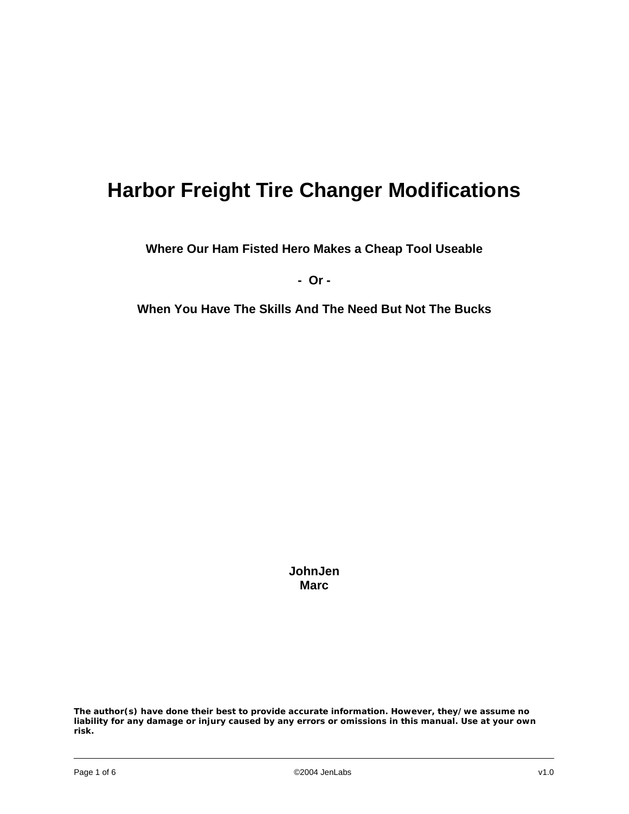## **Harbor Freight Tire Changer Modifications**

**Where Our Ham Fisted Hero Makes a Cheap Tool Useable** 

**- Or -** 

**When You Have The Skills And The Need But Not The Bucks** 

**JohnJen Marc**

**The author(s) have done their best to provide accurate information. However, they/we assume no liability for any damage or injury caused by any errors or omissions in this manual. Use at your own risk.**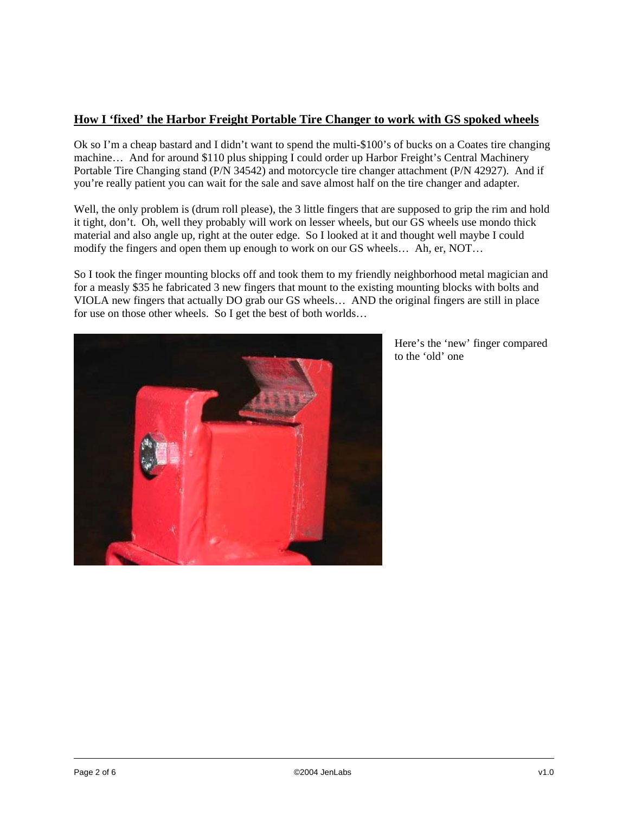## **How I 'fixed' the Harbor Freight Portable Tire Changer to work with GS spoked wheels**

Ok so I'm a cheap bastard and I didn't want to spend the multi-\$100's of bucks on a Coates tire changing machine… And for around \$110 plus shipping I could order up Harbor Freight's Central Machinery Portable Tire Changing stand (P/N 34542) and motorcycle tire changer attachment (P/N 42927). And if you're really patient you can wait for the sale and save almost half on the tire changer and adapter.

Well, the only problem is (drum roll please), the 3 little fingers that are supposed to grip the rim and hold it tight, don't. Oh, well they probably will work on lesser wheels, but our GS wheels use mondo thick material and also angle up, right at the outer edge. So I looked at it and thought well maybe I could modify the fingers and open them up enough to work on our GS wheels… Ah, er, NOT…

So I took the finger mounting blocks off and took them to my friendly neighborhood metal magician and for a measly \$35 he fabricated 3 new fingers that mount to the existing mounting blocks with bolts and VIOLA new fingers that actually DO grab our GS wheels… AND the original fingers are still in place for use on those other wheels. So I get the best of both worlds…



Here's the 'new' finger compared to the 'old' one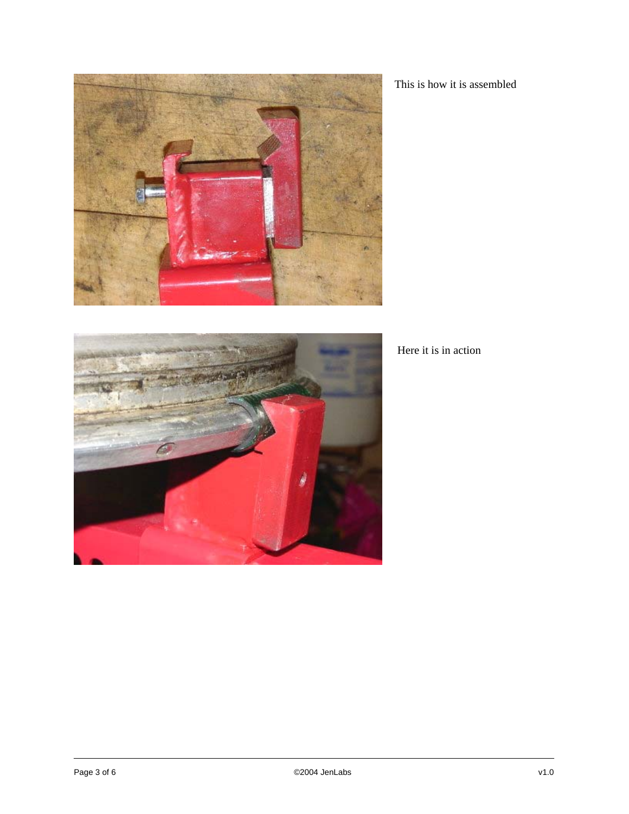

This is how it is assembled



Here it is in action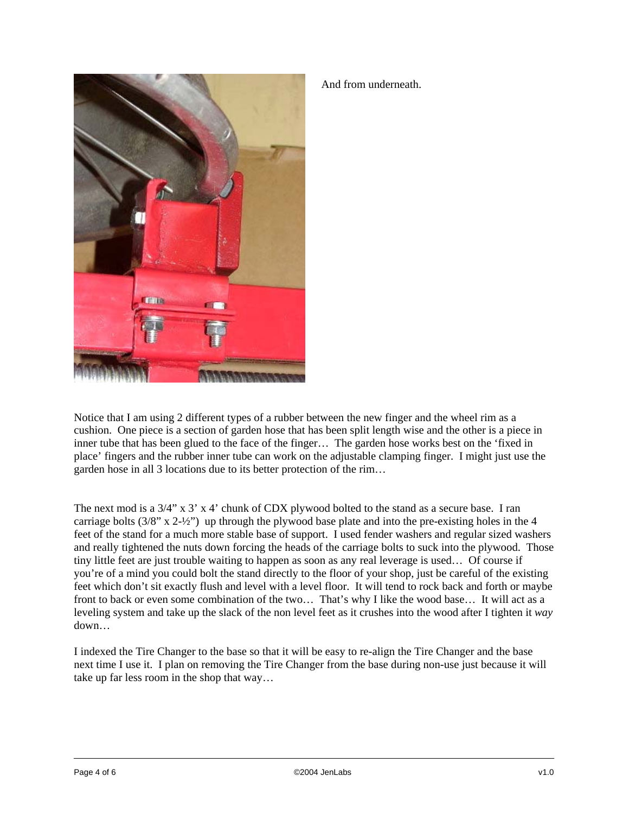

## And from underneath.

Notice that I am using 2 different types of a rubber between the new finger and the wheel rim as a cushion. One piece is a section of garden hose that has been split length wise and the other is a piece in inner tube that has been glued to the face of the finger… The garden hose works best on the 'fixed in place' fingers and the rubber inner tube can work on the adjustable clamping finger. I might just use the garden hose in all 3 locations due to its better protection of the rim…

The next mod is a 3/4" x 3' x 4' chunk of CDX plywood bolted to the stand as a secure base. I ran carriage bolts  $(3/8" x 2-\frac{1}{2})$  up through the plywood base plate and into the pre-existing holes in the 4 feet of the stand for a much more stable base of support. I used fender washers and regular sized washers and really tightened the nuts down forcing the heads of the carriage bolts to suck into the plywood. Those tiny little feet are just trouble waiting to happen as soon as any real leverage is used… Of course if you're of a mind you could bolt the stand directly to the floor of your shop, just be careful of the existing feet which don't sit exactly flush and level with a level floor. It will tend to rock back and forth or maybe front to back or even some combination of the two… That's why I like the wood base… It will act as a leveling system and take up the slack of the non level feet as it crushes into the wood after I tighten it *way* down…

I indexed the Tire Changer to the base so that it will be easy to re-align the Tire Changer and the base next time I use it. I plan on removing the Tire Changer from the base during non-use just because it will take up far less room in the shop that way…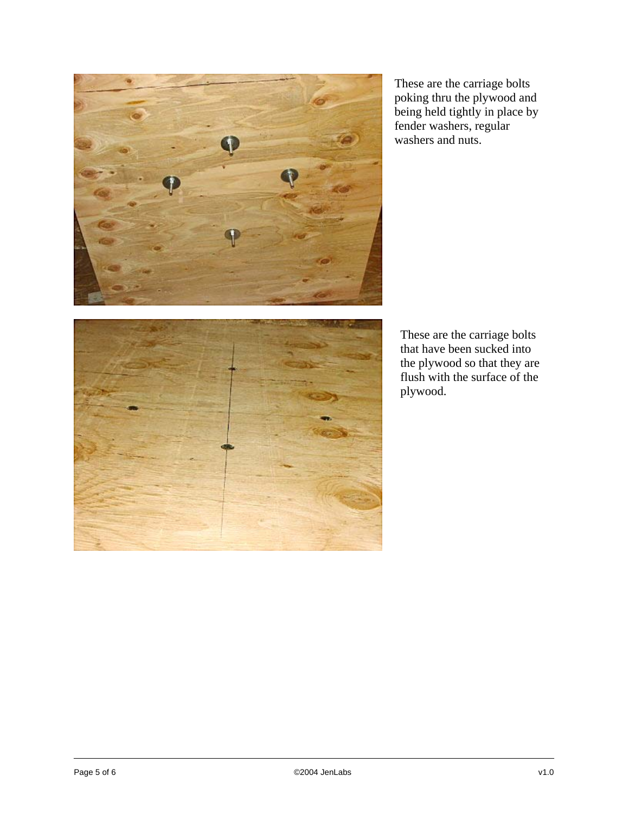

These are the carriage bolts poking thru the plywood and being held tightly in place by fender washers, regular washers and nuts.



These are the carriage bolts that have been sucked into the plywood so that they are flush with the surface of the plywood.